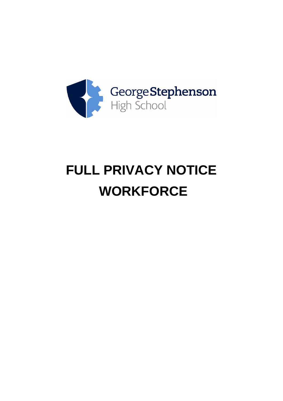

# **FULL PRIVACY NOTICE WORKFORCE**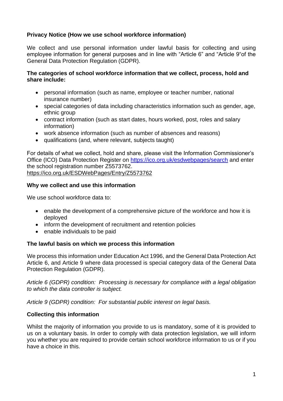# **Privacy Notice (How we use school workforce information)**

We collect and use personal information under lawful basis for collecting and using employee information for general purposes and in line with "Article 6" and "Article 9"of the General Data Protection Regulation (GDPR).

#### **The categories of school workforce information that we collect, process, hold and share include:**

- personal information (such as name, employee or teacher number, national insurance number)
- special categories of data including characteristics information such as gender, age, ethnic group
- contract information (such as start dates, hours worked, post, roles and salary information)
- work absence information (such as number of absences and reasons)
- qualifications (and, where relevant, subjects taught)

For details of what we collect, hold and share, please visit the Information Commissioner's Office (ICO) Data Protection Register on<https://ico.org.uk/esdwebpages/search> and enter the school registration number Z5573762. <https://ico.org.uk/ESDWebPages/Entry/Z5573762>

#### **Why we collect and use this information**

We use school workforce data to:

- enable the development of a comprehensive picture of the workforce and how it is deployed
- inform the development of recruitment and retention policies
- enable individuals to be paid

## **The lawful basis on which we process this information**

We process this information under Education Act 1996, and the General Data Protection Act Article 6, and Article 9 where data processed is special category data of the General Data Protection Regulation (GDPR).

*Article 6 (GDPR) condition: Processing is necessary for compliance with a legal obligation to which the data controller is subject.*

*Article 9 (GDPR) condition: For substantial public interest on legal basis.*

## **Collecting this information**

Whilst the majority of information you provide to us is mandatory, some of it is provided to us on a voluntary basis. In order to comply with data protection legislation, we will inform you whether you are required to provide certain school workforce information to us or if you have a choice in this.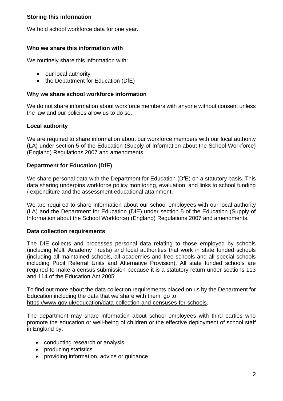# **Storing this information**

We hold school workforce data for one year.

## **Who we share this information with**

We routinely share this information with:

- our local authority
- the Department for Education (DfE)

## **Why we share school workforce information**

We do not share information about workforce members with anyone without consent unless the law and our policies allow us to do so.

## **Local authority**

We are required to share information about our workforce members with our local authority (LA) under section 5 of the Education (Supply of Information about the School Workforce) (England) Regulations 2007 and amendments.

## **Department for Education (DfE)**

We share personal data with the Department for Education (DfE) on a statutory basis. This data sharing underpins workforce policy monitoring, evaluation, and links to school funding / expenditure and the assessment educational attainment.

We are required to share information about our school employees with our local authority (LA) and the Department for Education (DfE) under section 5 of the Education (Supply of Information about the School Workforce) (England) Regulations 2007 and amendments.

## **Data collection requirements**

The DfE collects and processes personal data relating to those employed by schools (including Multi Academy Trusts) and local authorities that work in state funded schools (including all maintained schools, all academies and free schools and all special schools including Pupil Referral Units and Alternative Provision). All state funded schools are required to make a census submission because it is a statutory return under sections 113 and 114 of the Education Act 2005

To find out more about the data collection requirements placed on us by the Department for Education including the data that we share with them, go to [https://www.gov.uk/education/data-collection-and-censuses-for-schools.](https://www.gov.uk/education/data-collection-and-censuses-for-schools)

The department may share information about school employees with third parties who promote the education or well-being of children or the effective deployment of school staff in England by:

- conducting research or analysis
- producing statistics
- providing information, advice or guidance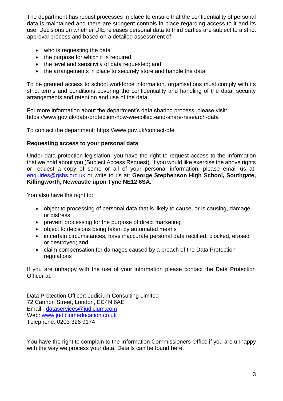The department has robust processes in place to ensure that the confidentiality of personal data is maintained and there are stringent controls in place regarding access to it and its use. Decisions on whether DfE releases personal data to third parties are subject to a strict approval process and based on a detailed assessment of:

- who is requesting the data
- the purpose for which it is required
- the level and sensitivity of data requested; and
- the arrangements in place to securely store and handle the data

To be granted access to school workforce information, organisations must comply with its strict terms and conditions covering the confidentiality and handling of the data, security arrangements and retention and use of the data.

For more information about the department's data sharing process, please visit: <https://www.gov.uk/data-protection-how-we-collect-and-share-research-data>

To contact the department:<https://www.gov.uk/contact-dfe>

#### **Requesting access to your personal data**

Under data protection legislation, you have the right to request access to the information that we hold about you (Subject Access Request). If you would like exercise the above rights or request a copy of some or all of your personal information, please email us at; [enquiries@gshs.org.uk](mailto:enquiries@gshs.org.uk) or write to us at; **George Stephenson High School, Southgate, Killingworth, Newcastle upon Tyne NE12 6SA.**

You also have the right to:

- object to processing of personal data that is likely to cause, or is causing, damage or distress
- prevent processing for the purpose of direct marketing
- object to decisions being taken by automated means
- in certain circumstances, have inaccurate personal data rectified, blocked, erased or destroyed; and
- claim compensation for damages caused by a breach of the Data Protection regulations

If you are unhappy with the use of your information please contact the Data Protection Officer at:

Data Protection Officer: Judicium Consulting Limited 72 Cannon Street, London, EC4N 6AE Email: [dataservices@judicium.com](mailto:dataservices@judicium.com) Web: [www.judiciumeducation.co.uk](http://www.judiciumeducation.co.uk/) Telephone: 0203 326 9174

You have the right to complain to the Information Commissioners Office if you are unhappy with the way we process your data. Details can be found [here.](https://ico.org.uk/for-organisations/guide-to-data-protection/privacy-notices-transparency-and-control/)